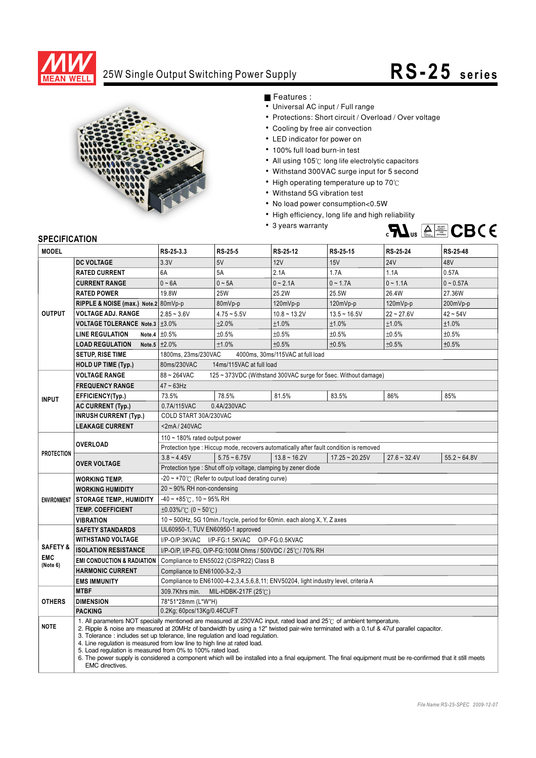

## 25W Single Output Switching Power Supply **RS- 25 series**



Features :

- Universal AC input / Full range
- Protections: Short circuit / Overload / Over voltage
- Cooling by free air convection
- LED indicator for power on
- 100% full load burn-in test
- All using 105 $^\circ$ C long life electrolytic capacitors
- Withstand 300VAC surge input for 5 second
- $\bullet$  High operating temperature up to 70 $^\circ$ C
- Withstand 5G vibration test
- No load power consumption<0.5W
- High efficiency, long life and high reliability
- 3 years warranty



## **SPECIFICATION**

| <b>MODEL</b>        |                                                                                                                                                                                                                                                                                                                                                                                                                                                                                                                                                                                                                                                                                    | RS-25-3.3                                                                          | <b>RS-25-5</b> | RS-25-12                                                                               | RS-25-15         | RS-25-24       | RS-25-48       |
|---------------------|------------------------------------------------------------------------------------------------------------------------------------------------------------------------------------------------------------------------------------------------------------------------------------------------------------------------------------------------------------------------------------------------------------------------------------------------------------------------------------------------------------------------------------------------------------------------------------------------------------------------------------------------------------------------------------|------------------------------------------------------------------------------------|----------------|----------------------------------------------------------------------------------------|------------------|----------------|----------------|
|                     | <b>DC VOLTAGE</b>                                                                                                                                                                                                                                                                                                                                                                                                                                                                                                                                                                                                                                                                  | 3.3V                                                                               | 5V             | 12V                                                                                    | 15V              | <b>24V</b>     | 48V            |
| <b>OUTPUT</b>       | <b>RATED CURRENT</b>                                                                                                                                                                                                                                                                                                                                                                                                                                                                                                                                                                                                                                                               | 6A                                                                                 | 5A             | 2.1A                                                                                   | 1.7A             | 1.1A           | 0.57A          |
|                     | <b>CURRENT RANGE</b>                                                                                                                                                                                                                                                                                                                                                                                                                                                                                                                                                                                                                                                               | $0 - 6A$                                                                           | $0 - 5A$       | $0 - 2.1A$                                                                             | $0 - 1.7A$       | $0 - 1.1A$     | $0 - 0.57A$    |
|                     | <b>RATED POWER</b>                                                                                                                                                                                                                                                                                                                                                                                                                                                                                                                                                                                                                                                                 | 19.8W                                                                              | <b>25W</b>     | 25.2W                                                                                  | 25.5W            | 26.4W          | 27.36W         |
|                     | RIPPLE & NOISE (max.) Note.2 80mVp-p                                                                                                                                                                                                                                                                                                                                                                                                                                                                                                                                                                                                                                               |                                                                                    | 80mVp-p        | 120mVp-p                                                                               | $120mVp-p$       | $120mVp-p$     | 200mVp-p       |
|                     | <b>VOLTAGE ADJ. RANGE</b>                                                                                                                                                                                                                                                                                                                                                                                                                                                                                                                                                                                                                                                          | $2.85 - 3.6V$                                                                      | $4.75 - 5.5V$  | $10.8 - 13.2V$                                                                         | $13.5 - 16.5V$   | $22 - 27.6V$   | $42 - 54V$     |
|                     | VOLTAGE TOLERANCE Note.3   ±3.0%                                                                                                                                                                                                                                                                                                                                                                                                                                                                                                                                                                                                                                                   |                                                                                    | ±2.0%          | ±1.0%                                                                                  | ±1.0%            | ±1.0%          | ±1.0%          |
|                     | <b>LINE REGULATION</b><br>Note.4                                                                                                                                                                                                                                                                                                                                                                                                                                                                                                                                                                                                                                                   | ±0.5%                                                                              | ±0.5%          | ±0.5%                                                                                  | ±0.5%            | ±0.5%          | ±0.5%          |
|                     | <b>LOAD REGULATION</b>                                                                                                                                                                                                                                                                                                                                                                                                                                                                                                                                                                                                                                                             | Note.5 $\pm 2.0\%$                                                                 | ±1.0%          | ±0.5%                                                                                  | ±0.5%            | ±0.5%          | ±0.5%          |
|                     | <b>SETUP, RISE TIME</b>                                                                                                                                                                                                                                                                                                                                                                                                                                                                                                                                                                                                                                                            | 1800ms, 23ms/230VAC<br>4000ms, 30ms/115VAC at full load                            |                |                                                                                        |                  |                |                |
|                     | <b>HOLD UP TIME (Typ.)</b>                                                                                                                                                                                                                                                                                                                                                                                                                                                                                                                                                                                                                                                         | 80ms/230VAC<br>14ms/115VAC at full load                                            |                |                                                                                        |                  |                |                |
|                     | <b>VOLTAGE RANGE</b>                                                                                                                                                                                                                                                                                                                                                                                                                                                                                                                                                                                                                                                               | 88~264VAC<br>125 ~ 373VDC (Withstand 300VAC surge for 5sec. Without damage)        |                |                                                                                        |                  |                |                |
| <b>INPUT</b>        | <b>FREQUENCY RANGE</b>                                                                                                                                                                                                                                                                                                                                                                                                                                                                                                                                                                                                                                                             | $47 \sim 63$ Hz                                                                    |                |                                                                                        |                  |                |                |
|                     | EFFICIENCY(Typ.)                                                                                                                                                                                                                                                                                                                                                                                                                                                                                                                                                                                                                                                                   | 73.5%                                                                              | 78.5%          | 81.5%                                                                                  | 83.5%            | 86%            | 85%            |
|                     | <b>AC CURRENT (Typ.)</b>                                                                                                                                                                                                                                                                                                                                                                                                                                                                                                                                                                                                                                                           | 0.4A/230VAC<br>0.7A/115VAC                                                         |                |                                                                                        |                  |                |                |
|                     | <b>INRUSH CURRENT (Typ.)</b>                                                                                                                                                                                                                                                                                                                                                                                                                                                                                                                                                                                                                                                       | COLD START 30A/230VAC                                                              |                |                                                                                        |                  |                |                |
|                     | <b>LEAKAGE CURRENT</b>                                                                                                                                                                                                                                                                                                                                                                                                                                                                                                                                                                                                                                                             | $<$ 2mA/240VAC                                                                     |                |                                                                                        |                  |                |                |
| <b>PROTECTION</b>   | OVERLOAD                                                                                                                                                                                                                                                                                                                                                                                                                                                                                                                                                                                                                                                                           | 110 $\sim$ 180% rated output power                                                 |                |                                                                                        |                  |                |                |
|                     |                                                                                                                                                                                                                                                                                                                                                                                                                                                                                                                                                                                                                                                                                    |                                                                                    |                | Protection type : Hiccup mode, recovers automatically after fault condition is removed |                  |                |                |
|                     | <b>OVER VOLTAGE</b>                                                                                                                                                                                                                                                                                                                                                                                                                                                                                                                                                                                                                                                                | $3.8 - 4.45V$                                                                      | $5.75 - 6.75V$ | $13.8 \sim 16.2V$                                                                      | $17.25 - 20.25V$ | $27.6 - 32.4V$ | $55.2 - 64.8V$ |
|                     |                                                                                                                                                                                                                                                                                                                                                                                                                                                                                                                                                                                                                                                                                    | Protection type: Shut off o/p voltage, clamping by zener diode                     |                |                                                                                        |                  |                |                |
| <b>ENVIRONMENT</b>  | <b>WORKING TEMP.</b>                                                                                                                                                                                                                                                                                                                                                                                                                                                                                                                                                                                                                                                               | -20 $\sim$ +70 $\degree$ C (Refer to output load derating curve)                   |                |                                                                                        |                  |                |                |
|                     | <b>WORKING HUMIDITY</b>                                                                                                                                                                                                                                                                                                                                                                                                                                                                                                                                                                                                                                                            | 20~90% RH non-condensing                                                           |                |                                                                                        |                  |                |                |
|                     | <b>STORAGE TEMP., HUMIDITY</b>                                                                                                                                                                                                                                                                                                                                                                                                                                                                                                                                                                                                                                                     | $-40 \sim +85^{\circ}$ C, 10 ~ 95% RH                                              |                |                                                                                        |                  |                |                |
|                     | <b>TEMP. COEFFICIENT</b>                                                                                                                                                                                                                                                                                                                                                                                                                                                                                                                                                                                                                                                           | $\pm 0.03\%$ /°C (0 ~ 50°C)                                                        |                |                                                                                        |                  |                |                |
|                     | <b>VIBRATION</b>                                                                                                                                                                                                                                                                                                                                                                                                                                                                                                                                                                                                                                                                   | 10 ~ 500Hz, 5G 10min./1cycle, period for 60min. each along X, Y, Z axes            |                |                                                                                        |                  |                |                |
|                     | <b>SAFETY STANDARDS</b>                                                                                                                                                                                                                                                                                                                                                                                                                                                                                                                                                                                                                                                            | UL60950-1, TUV EN60950-1 approved                                                  |                |                                                                                        |                  |                |                |
| <b>SAFETY &amp;</b> | <b>WITHSTAND VOLTAGE</b>                                                                                                                                                                                                                                                                                                                                                                                                                                                                                                                                                                                                                                                           | I/P-O/P:3KVAC I/P-FG:1.5KVAC O/P-FG:0.5KVAC                                        |                |                                                                                        |                  |                |                |
| <b>EMC</b>          | <b>ISOLATION RESISTANCE</b>                                                                                                                                                                                                                                                                                                                                                                                                                                                                                                                                                                                                                                                        | I/P-O/P, I/P-FG, O/P-FG:100M Ohms / 500VDC / 25°C / 70% RH                         |                |                                                                                        |                  |                |                |
| (Note 6)            | Compliance to EN55022 (CISPR22) Class B<br><b>EMI CONDUCTION &amp; RADIATION</b>                                                                                                                                                                                                                                                                                                                                                                                                                                                                                                                                                                                                   |                                                                                    |                |                                                                                        |                  |                |                |
|                     | <b>HARMONIC CURRENT</b>                                                                                                                                                                                                                                                                                                                                                                                                                                                                                                                                                                                                                                                            | Compliance to EN61000-3-2,-3                                                       |                |                                                                                        |                  |                |                |
|                     | <b>EMS IMMUNITY</b>                                                                                                                                                                                                                                                                                                                                                                                                                                                                                                                                                                                                                                                                | Compliance to EN61000-4-2,3,4,5,6,8,11; ENV50204, light industry level, criteria A |                |                                                                                        |                  |                |                |
| <b>OTHERS</b>       | <b>MTBF</b>                                                                                                                                                                                                                                                                                                                                                                                                                                                                                                                                                                                                                                                                        | 309.7Khrs min.<br>MIL-HDBK-217F (25 $°C$ )                                         |                |                                                                                        |                  |                |                |
|                     | <b>DIMENSION</b>                                                                                                                                                                                                                                                                                                                                                                                                                                                                                                                                                                                                                                                                   | 78*51*28mm (L*W*H)                                                                 |                |                                                                                        |                  |                |                |
|                     | <b>PACKING</b>                                                                                                                                                                                                                                                                                                                                                                                                                                                                                                                                                                                                                                                                     | 0.2Kg; 60pcs/13Kg/0.46CUFT                                                         |                |                                                                                        |                  |                |                |
| <b>NOTE</b>         | 1. All parameters NOT specially mentioned are measured at 230VAC input, rated load and 25°C of ambient temperature.<br>2. Ripple & noise are measured at 20MHz of bandwidth by using a 12" twisted pair-wire terminated with a 0.1uf & 47uf parallel capacitor.<br>3. Tolerance: includes set up tolerance, line regulation and load regulation.<br>4. Line regulation is measured from low line to high line at rated load.<br>5. Load regulation is measured from 0% to 100% rated load.<br>6. The power supply is considered a component which will be installed into a final equipment. The final equipment must be re-confirmed that it still meets<br><b>EMC</b> directives. |                                                                                    |                |                                                                                        |                  |                |                |